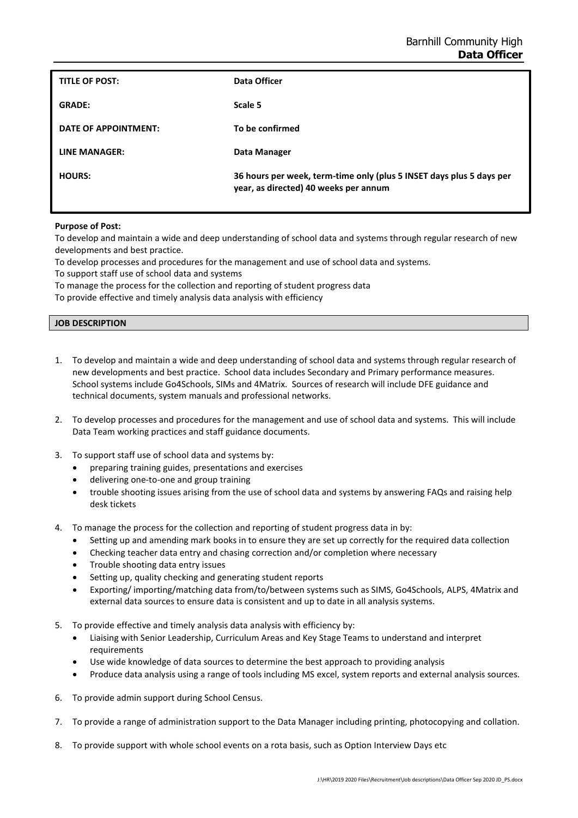| TITLE OF POST:       | Data Officer                                                                                                  |
|----------------------|---------------------------------------------------------------------------------------------------------------|
| <b>GRADE:</b>        | Scale 5                                                                                                       |
| DATE OF APPOINTMENT: | To be confirmed                                                                                               |
| LINE MANAGER:        | Data Manager                                                                                                  |
| <b>HOURS:</b>        | 36 hours per week, term-time only (plus 5 INSET days plus 5 days per<br>year, as directed) 40 weeks per annum |

## **Purpose of Post:**

To develop and maintain a wide and deep understanding of school data and systems through regular research of new developments and best practice.

To develop processes and procedures for the management and use of school data and systems.

To support staff use of school data and systems

To manage the process for the collection and reporting of student progress data

To provide effective and timely analysis data analysis with efficiency

## **JOB DESCRIPTION**

- 1. To develop and maintain a wide and deep understanding of school data and systems through regular research of new developments and best practice. School data includes Secondary and Primary performance measures. School systems include Go4Schools, SIMs and 4Matrix. Sources of research will include DFE guidance and technical documents, system manuals and professional networks.
- 2. To develop processes and procedures for the management and use of school data and systems. This will include Data Team working practices and staff guidance documents.
- 3. To support staff use of school data and systems by:
	- preparing training guides, presentations and exercises
	- delivering one-to-one and group training
	- trouble shooting issues arising from the use of school data and systems by answering FAQs and raising help desk tickets
- 4. To manage the process for the collection and reporting of student progress data in by:
	- Setting up and amending mark books in to ensure they are set up correctly for the required data collection
	- Checking teacher data entry and chasing correction and/or completion where necessary
	- Trouble shooting data entry issues
	- Setting up, quality checking and generating student reports
	- Exporting/ importing/matching data from/to/between systems such as SIMS, Go4Schools, ALPS, 4Matrix and external data sources to ensure data is consistent and up to date in all analysis systems.
- 5. To provide effective and timely analysis data analysis with efficiency by:
	- Liaising with Senior Leadership, Curriculum Areas and Key Stage Teams to understand and interpret requirements
	- Use wide knowledge of data sources to determine the best approach to providing analysis
	- Produce data analysis using a range of tools including MS excel, system reports and external analysis sources.
- 6. To provide admin support during School Census.
- 7. To provide a range of administration support to the Data Manager including printing, photocopying and collation.
- 8. To provide support with whole school events on a rota basis, such as Option Interview Days etc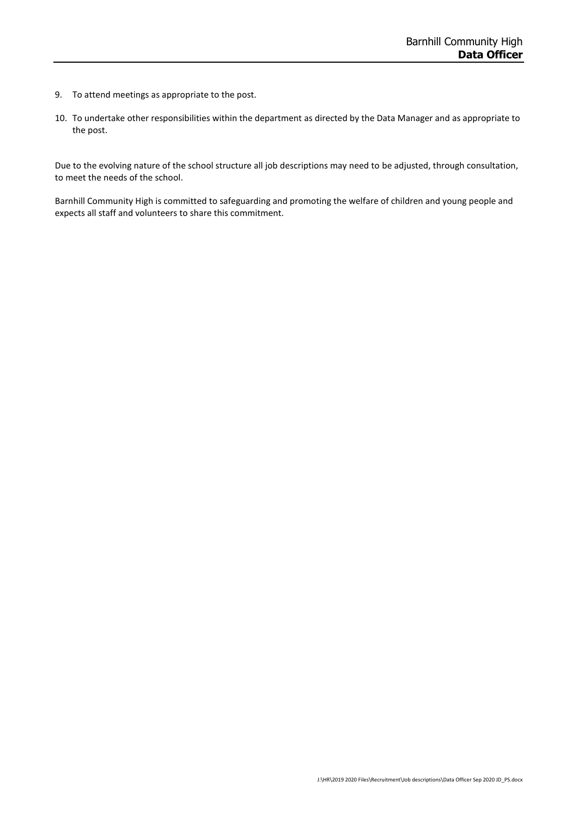- 9. To attend meetings as appropriate to the post.
- 10. To undertake other responsibilities within the department as directed by the Data Manager and as appropriate to the post.

Due to the evolving nature of the school structure all job descriptions may need to be adjusted, through consultation, to meet the needs of the school.

Barnhill Community High is committed to safeguarding and promoting the welfare of children and young people and expects all staff and volunteers to share this commitment.